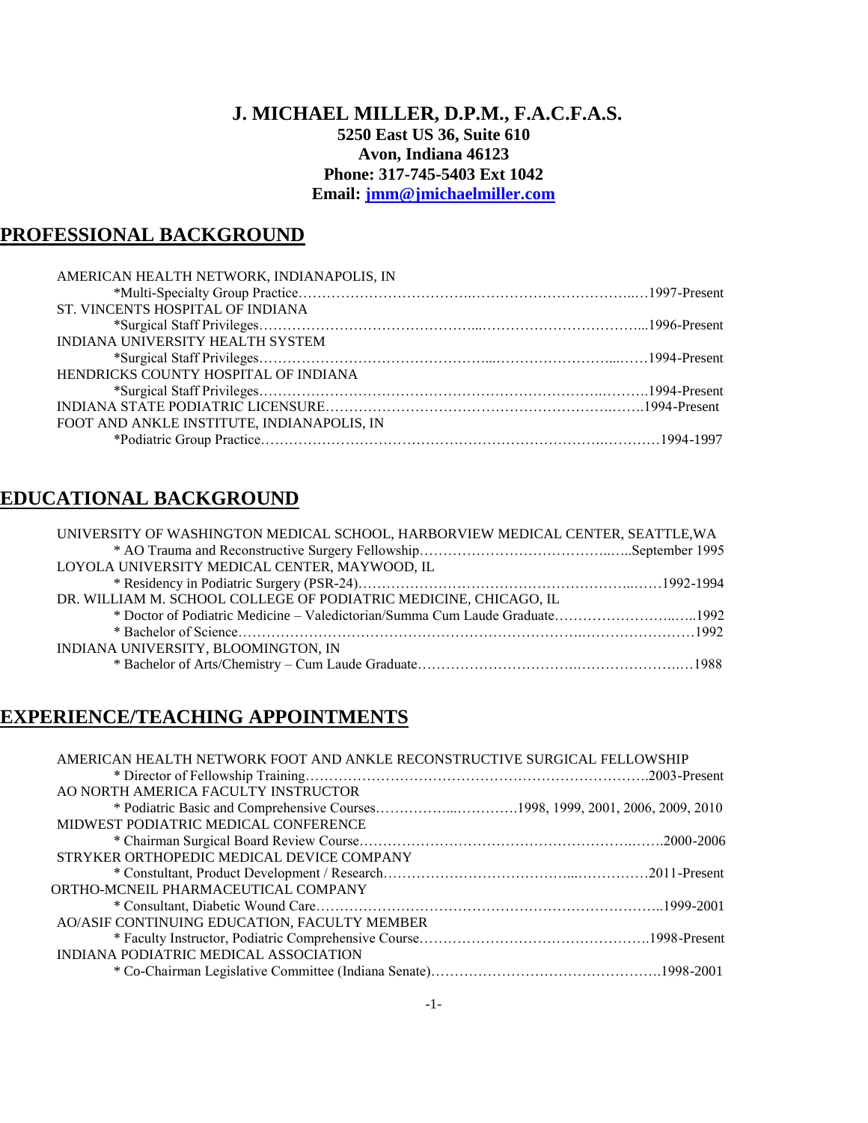### **J. MICHAEL MILLER, D.P.M., F.A.C.F.A.S. 5250 East US 36, Suite 610 Avon, Indiana 46123 Phone: 317-745-5403 Ext 1042 Email: [jmm@jmichaelmiller.com](mailto:jmm@jmichaelmiller.com)**

## **PROFESSIONAL BACKGROUND**

| AMERICAN HEALTH NETWORK, INDIANAPOLIS, IN  |  |
|--------------------------------------------|--|
|                                            |  |
| ST. VINCENTS HOSPITAL OF INDIANA           |  |
|                                            |  |
| INDIANA UNIVERSITY HEALTH SYSTEM           |  |
|                                            |  |
| HENDRICKS COUNTY HOSPITAL OF INDIANA       |  |
|                                            |  |
|                                            |  |
| FOOT AND ANKLE INSTITUTE, INDIANAPOLIS, IN |  |
|                                            |  |

## **EDUCATIONAL BACKGROUND**

| UNIVERSITY OF WASHINGTON MEDICAL SCHOOL, HARBORVIEW MEDICAL CENTER, SEATTLE, WA |  |
|---------------------------------------------------------------------------------|--|
|                                                                                 |  |
| LOYOLA UNIVERSITY MEDICAL CENTER, MAYWOOD, IL                                   |  |
|                                                                                 |  |
| DR. WILLIAM M. SCHOOL COLLEGE OF PODIATRIC MEDICINE, CHICAGO, IL                |  |
| * Doctor of Podiatric Medicine – Valedictorian/Summa Cum Laude Graduate1992     |  |
|                                                                                 |  |
| INDIANA UNIVERSITY, BLOOMINGTON, IN                                             |  |
|                                                                                 |  |

## **EXPERIENCE/TEACHING APPOINTMENTS**

| AMERICAN HEALTH NETWORK FOOT AND ANKLE RECONSTRUCTIVE SURGICAL FELLOWSHIP     |
|-------------------------------------------------------------------------------|
|                                                                               |
| AO NORTH AMERICA FACULTY INSTRUCTOR                                           |
| * Podiatric Basic and Comprehensive Courses1998, 1999, 2001, 2006, 2009, 2010 |
| MIDWEST PODIATRIC MEDICAL CONFERENCE                                          |
|                                                                               |
| STRYKER ORTHOPEDIC MEDICAL DEVICE COMPANY                                     |
|                                                                               |
| ORTHO-MCNEIL PHARMACEUTICAL COMPANY                                           |
|                                                                               |
| AO/ASIF CONTINUING EDUCATION, FACULTY MEMBER                                  |
|                                                                               |
| INDIANA PODIATRIC MEDICAL ASSOCIATION                                         |
|                                                                               |
|                                                                               |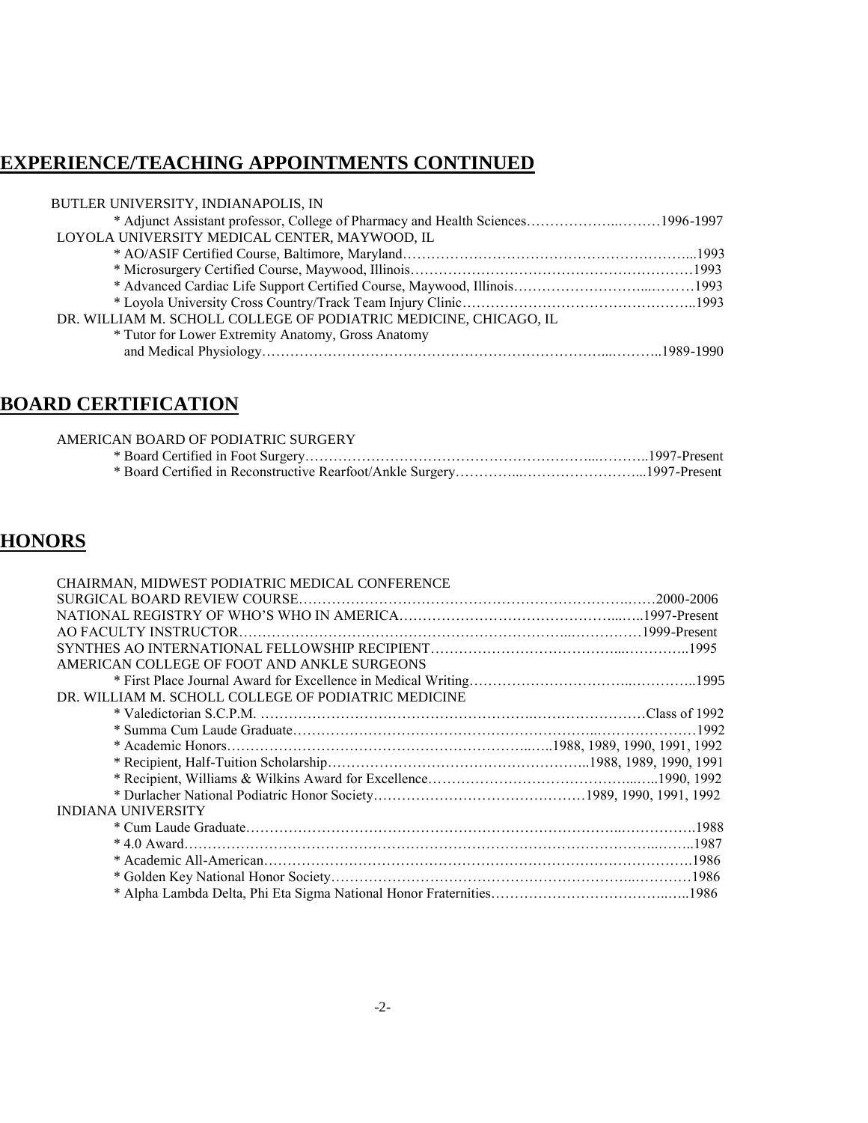# **EXPERIENCE/TEACHING APPOINTMENTS CONTINUED**

| BUTLER UNIVERSITY, INDIANAPOLIS, IN                                             |  |
|---------------------------------------------------------------------------------|--|
| * Adjunct Assistant professor, College of Pharmacy and Health Sciences1996-1997 |  |
| LOYOLA UNIVERSITY MEDICAL CENTER, MAYWOOD, IL                                   |  |
|                                                                                 |  |
|                                                                                 |  |
|                                                                                 |  |
|                                                                                 |  |
| DR. WILLIAM M. SCHOLL COLLEGE OF PODIATRIC MEDICINE, CHICAGO, IL                |  |
| * Tutor for Lower Extremity Anatomy, Gross Anatomy                              |  |
|                                                                                 |  |

# **BOARD CERTIFICATION**

| AMERICAN BOARD OF PODIATRIC SURGERY |  |
|-------------------------------------|--|
|                                     |  |
|                                     |  |

# **HONORS**

| CHAIRMAN, MIDWEST PODIATRIC MEDICAL CONFERENCE      |  |
|-----------------------------------------------------|--|
|                                                     |  |
|                                                     |  |
|                                                     |  |
|                                                     |  |
| AMERICAN COLLEGE OF FOOT AND ANKLE SURGEONS         |  |
|                                                     |  |
| DR. WILLIAM M. SCHOLL COLLEGE OF PODIATRIC MEDICINE |  |
|                                                     |  |
|                                                     |  |
|                                                     |  |
|                                                     |  |
|                                                     |  |
|                                                     |  |
| <b>INDIANA UNIVERSITY</b>                           |  |
|                                                     |  |
|                                                     |  |
|                                                     |  |
|                                                     |  |
|                                                     |  |
|                                                     |  |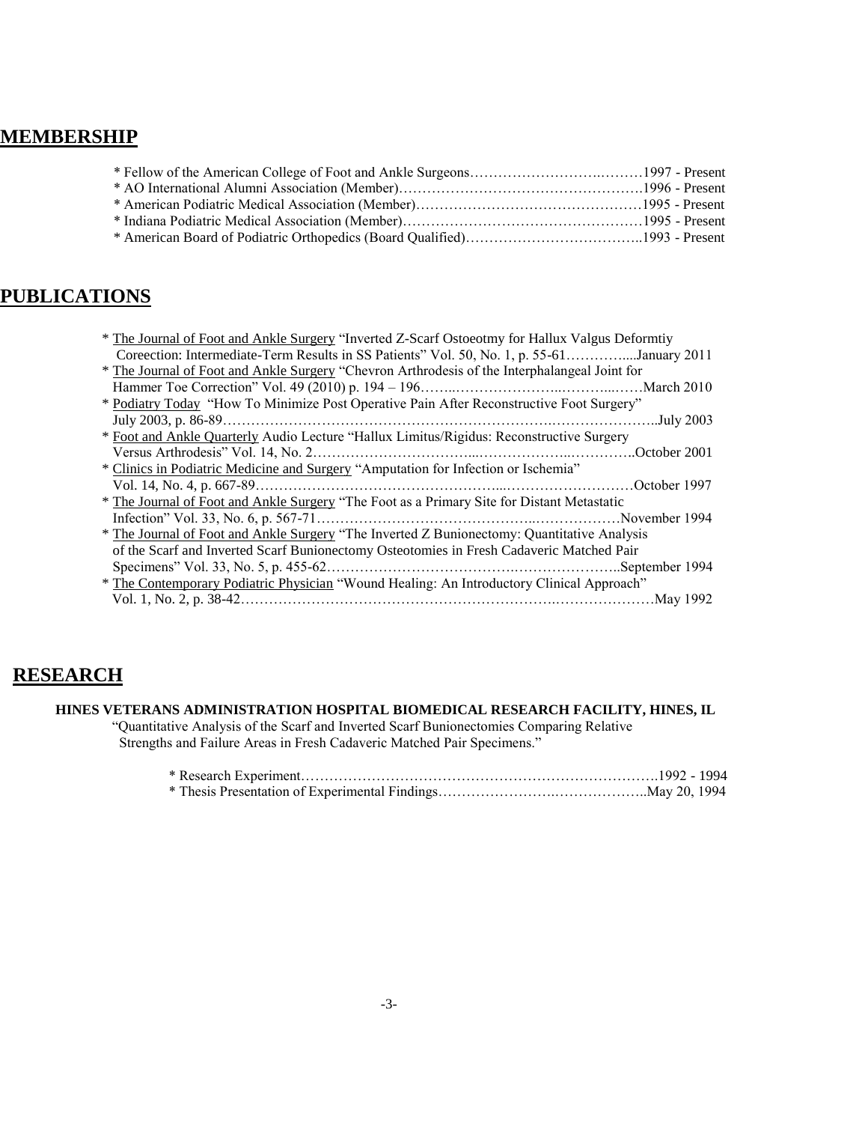## **MEMBERSHIP**

## **PUBLICATIONS**

| * The Journal of Foot and Ankle Surgery "Inverted Z-Scarf Ostoeotmy for Hallux Valgus Deformtiy |
|-------------------------------------------------------------------------------------------------|
| Coreection: Intermediate-Term Results in SS Patients" Vol. 50, No. 1, p. 55-61January 2011      |
| * The Journal of Foot and Ankle Surgery "Chevron Arthrodesis of the Interphalangeal Joint for   |
|                                                                                                 |
| * Podiatry Today "How To Minimize Post Operative Pain After Reconstructive Foot Surgery"        |
|                                                                                                 |
| * Foot and Ankle Quarterly Audio Lecture "Hallux Limitus/Rigidus: Reconstructive Surgery        |
|                                                                                                 |
| * Clinics in Podiatric Medicine and Surgery "Amputation for Infection or Ischemia"              |
|                                                                                                 |
| * The Journal of Foot and Ankle Surgery "The Foot as a Primary Site for Distant Metastatic      |
| November 1994.                                                                                  |
| * The Journal of Foot and Ankle Surgery "The Inverted Z Bunionectomy: Quantitative Analysis     |
| of the Scarf and Inverted Scarf Bunionectomy Osteotomies in Fresh Cadaveric Matched Pair        |
|                                                                                                 |
| * The Contemporary Podiatric Physician "Wound Healing: An Introductory Clinical Approach"       |
|                                                                                                 |
|                                                                                                 |

## **RESEARCH**

#### **HINES VETERANS ADMINISTRATION HOSPITAL BIOMEDICAL RESEARCH FACILITY, HINES, IL**

 "Quantitative Analysis of the Scarf and Inverted Scarf Bunionectomies Comparing Relative Strengths and Failure Areas in Fresh Cadaveric Matched Pair Specimens."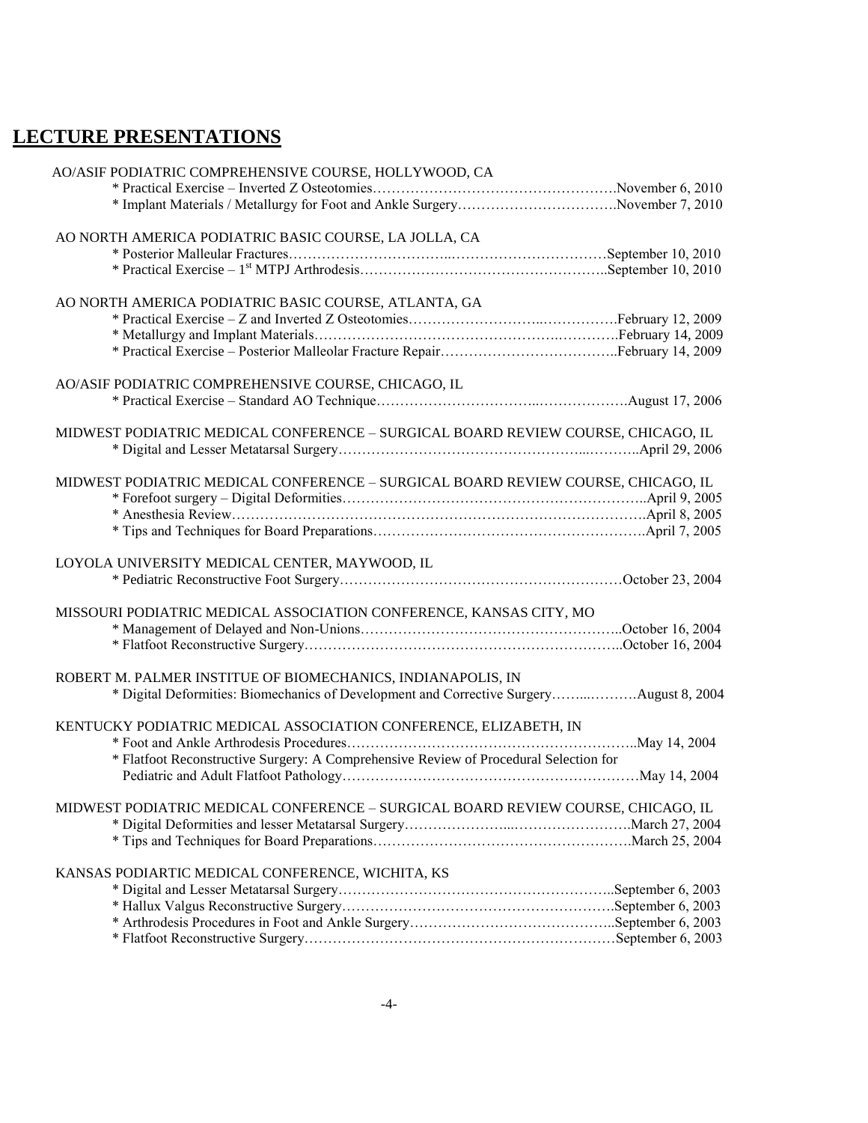# **LECTURE PRESENTATIONS**

| AO/ASIF PODIATRIC COMPREHENSIVE COURSE, HOLLYWOOD, CA                                   |  |
|-----------------------------------------------------------------------------------------|--|
|                                                                                         |  |
| * Implant Materials / Metallurgy for Foot and Ankle SurgeryNovember 7, 2010             |  |
| AO NORTH AMERICA PODIATRIC BASIC COURSE, LA JOLLA, CA                                   |  |
|                                                                                         |  |
|                                                                                         |  |
| AO NORTH AMERICA PODIATRIC BASIC COURSE, ATLANTA, GA                                    |  |
|                                                                                         |  |
|                                                                                         |  |
|                                                                                         |  |
| AO/ASIF PODIATRIC COMPREHENSIVE COURSE, CHICAGO, IL                                     |  |
|                                                                                         |  |
| MIDWEST PODIATRIC MEDICAL CONFERENCE - SURGICAL BOARD REVIEW COURSE, CHICAGO, IL        |  |
|                                                                                         |  |
| MIDWEST PODIATRIC MEDICAL CONFERENCE - SURGICAL BOARD REVIEW COURSE, CHICAGO, IL        |  |
|                                                                                         |  |
|                                                                                         |  |
|                                                                                         |  |
| LOYOLA UNIVERSITY MEDICAL CENTER, MAYWOOD, IL                                           |  |
|                                                                                         |  |
| MISSOURI PODIATRIC MEDICAL ASSOCIATION CONFERENCE, KANSAS CITY, MO                      |  |
|                                                                                         |  |
|                                                                                         |  |
| ROBERT M. PALMER INSTITUE OF BIOMECHANICS, INDIANAPOLIS, IN                             |  |
| * Digital Deformities: Biomechanics of Development and Corrective SurgeryAugust 8, 2004 |  |
| KENTUCKY PODIATRIC MEDICAL ASSOCIATION CONFERENCE, ELIZABETH, IN                        |  |
|                                                                                         |  |
| * Flatfoot Reconstructive Surgery: A Comprehensive Review of Procedural Selection for   |  |
|                                                                                         |  |
| MIDWEST PODIATRIC MEDICAL CONFERENCE - SURGICAL BOARD REVIEW COURSE, CHICAGO, IL        |  |
|                                                                                         |  |
|                                                                                         |  |
| KANSAS PODIARTIC MEDICAL CONFERENCE, WICHITA, KS                                        |  |
|                                                                                         |  |
|                                                                                         |  |
|                                                                                         |  |
|                                                                                         |  |
|                                                                                         |  |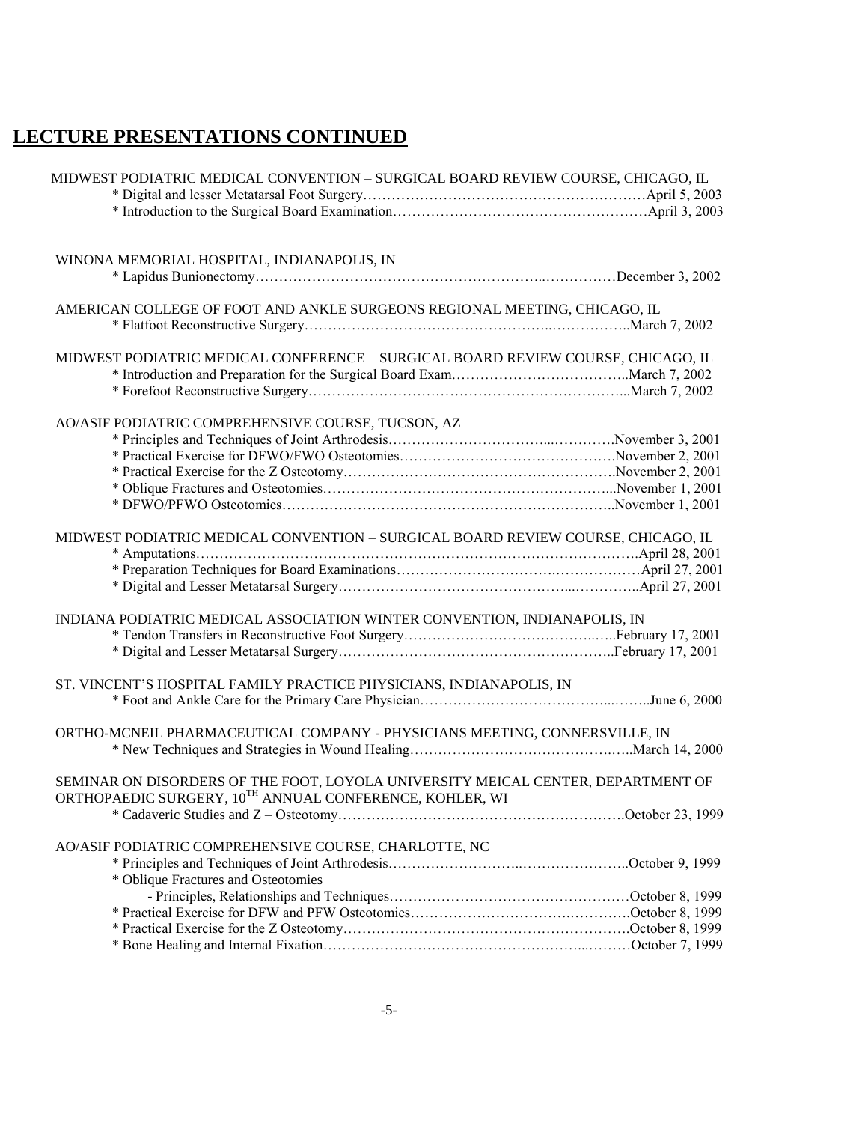# **LECTURE PRESENTATIONS CONTINUED**

| MIDWEST PODIATRIC MEDICAL CONVENTION - SURGICAL BOARD REVIEW COURSE, CHICAGO, IL |  |
|----------------------------------------------------------------------------------|--|
|                                                                                  |  |
|                                                                                  |  |
| WINONA MEMORIAL HOSPITAL, INDIANAPOLIS, IN                                       |  |
|                                                                                  |  |
| AMERICAN COLLEGE OF FOOT AND ANKLE SURGEONS REGIONAL MEETING, CHICAGO, IL        |  |
|                                                                                  |  |
| MIDWEST PODIATRIC MEDICAL CONFERENCE - SURGICAL BOARD REVIEW COURSE, CHICAGO, IL |  |
|                                                                                  |  |
|                                                                                  |  |
| AO/ASIF PODIATRIC COMPREHENSIVE COURSE, TUCSON, AZ                               |  |
|                                                                                  |  |
|                                                                                  |  |
|                                                                                  |  |
|                                                                                  |  |
|                                                                                  |  |
| MIDWEST PODIATRIC MEDICAL CONVENTION - SURGICAL BOARD REVIEW COURSE, CHICAGO, IL |  |
|                                                                                  |  |
|                                                                                  |  |
|                                                                                  |  |
| INDIANA PODIATRIC MEDICAL ASSOCIATION WINTER CONVENTION, INDIANAPOLIS, IN        |  |
|                                                                                  |  |
|                                                                                  |  |
| ST. VINCENT'S HOSPITAL FAMILY PRACTICE PHYSICIANS, INDIANAPOLIS, IN              |  |
|                                                                                  |  |
| ORTHO-MCNEIL PHARMACEUTICAL COMPANY - PHYSICIANS MEETING, CONNERSVILLE, IN       |  |
|                                                                                  |  |
| SEMINAR ON DISORDERS OF THE FOOT, LOYOLA UNIVERSITY MEICAL CENTER, DEPARTMENT OF |  |
| ORTHOPAEDIC SURGERY, 10TH ANNUAL CONFERENCE, KOHLER, WI                          |  |
|                                                                                  |  |
| AO/ASIF PODIATRIC COMPREHENSIVE COURSE, CHARLOTTE, NC                            |  |
|                                                                                  |  |
| * Oblique Fractures and Osteotomies                                              |  |
|                                                                                  |  |
|                                                                                  |  |
|                                                                                  |  |
|                                                                                  |  |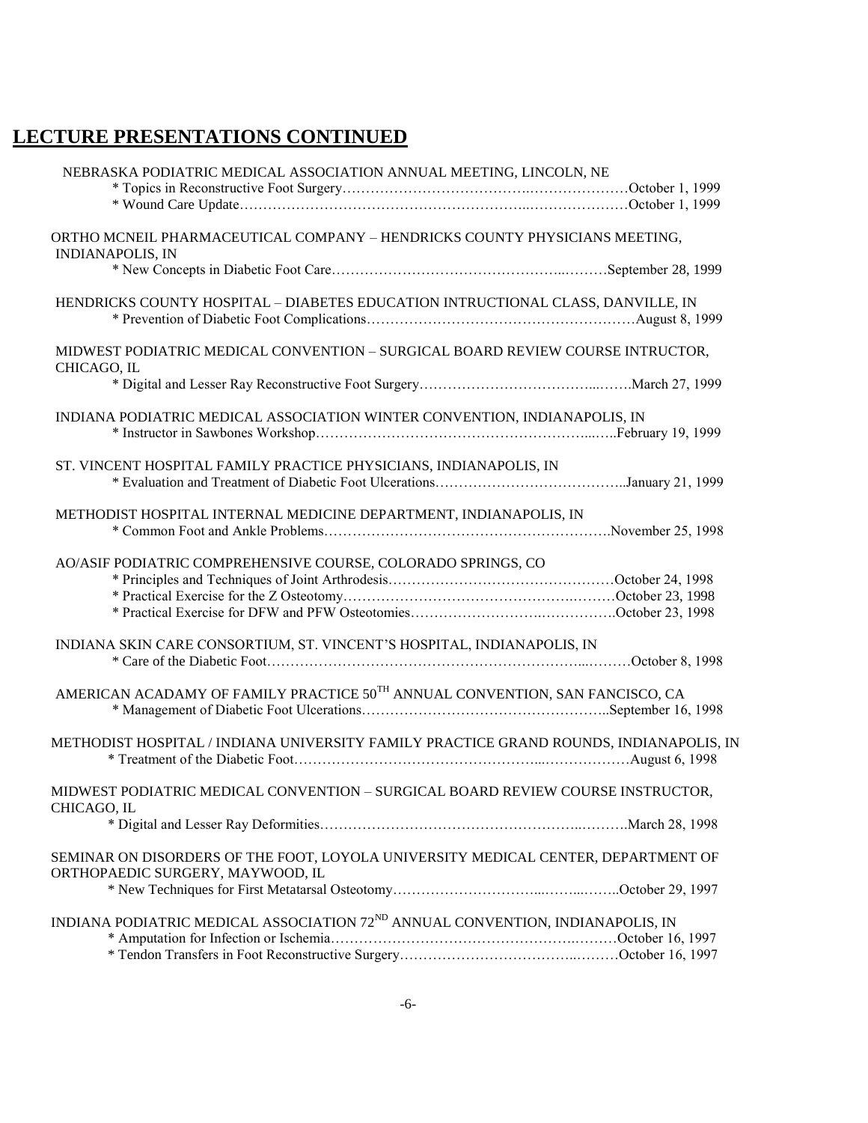# **LECTURE PRESENTATIONS CONTINUED**

| NEBRASKA PODIATRIC MEDICAL ASSOCIATION ANNUAL MEETING, LINCOLN, NE                                                    |  |
|-----------------------------------------------------------------------------------------------------------------------|--|
|                                                                                                                       |  |
|                                                                                                                       |  |
| ORTHO MCNEIL PHARMACEUTICAL COMPANY - HENDRICKS COUNTY PHYSICIANS MEETING,<br><b>INDIANAPOLIS, IN</b>                 |  |
|                                                                                                                       |  |
| HENDRICKS COUNTY HOSPITAL - DIABETES EDUCATION INTRUCTIONAL CLASS, DANVILLE, IN                                       |  |
| MIDWEST PODIATRIC MEDICAL CONVENTION - SURGICAL BOARD REVIEW COURSE INTRUCTOR,<br>CHICAGO, IL                         |  |
|                                                                                                                       |  |
| INDIANA PODIATRIC MEDICAL ASSOCIATION WINTER CONVENTION, INDIANAPOLIS, IN                                             |  |
| ST. VINCENT HOSPITAL FAMILY PRACTICE PHYSICIANS, INDIANAPOLIS, IN                                                     |  |
| METHODIST HOSPITAL INTERNAL MEDICINE DEPARTMENT, INDIANAPOLIS, IN                                                     |  |
| AO/ASIF PODIATRIC COMPREHENSIVE COURSE, COLORADO SPRINGS, CO                                                          |  |
| INDIANA SKIN CARE CONSORTIUM, ST. VINCENT'S HOSPITAL, INDIANAPOLIS, IN                                                |  |
| AMERICAN ACADAMY OF FAMILY PRACTICE 50 <sup>TH</sup> ANNUAL CONVENTION, SAN FANCISCO, CA                              |  |
| METHODIST HOSPITAL / INDIANA UNIVERSITY FAMILY PRACTICE GRAND ROUNDS, INDIANAPOLIS, IN                                |  |
| MIDWEST PODIATRIC MEDICAL CONVENTION - SURGICAL BOARD REVIEW COURSE INSTRUCTOR,<br>CHICAGO, IL                        |  |
|                                                                                                                       |  |
| SEMINAR ON DISORDERS OF THE FOOT, LOYOLA UNIVERSITY MEDICAL CENTER, DEPARTMENT OF<br>ORTHOPAEDIC SURGERY, MAYWOOD, IL |  |
|                                                                                                                       |  |
| INDIANA PODIATRIC MEDICAL ASSOCIATION 72 <sup>ND</sup> ANNUAL CONVENTION, INDIANAPOLIS, IN                            |  |
|                                                                                                                       |  |
|                                                                                                                       |  |
|                                                                                                                       |  |